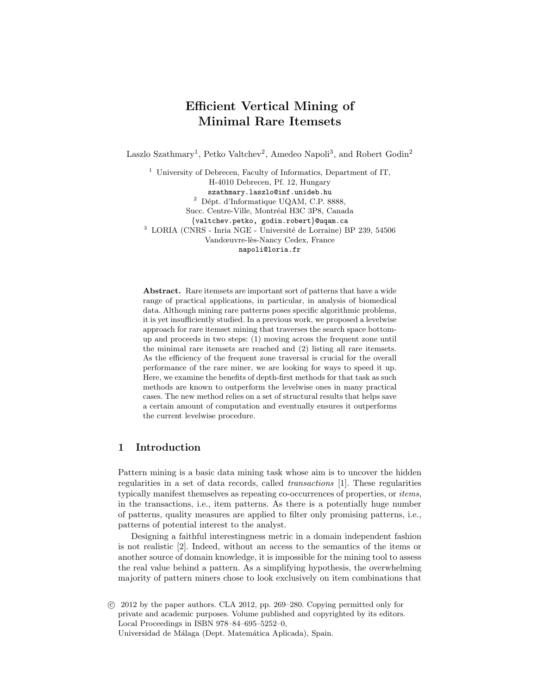# Efficient Vertical Mining of Minimal Rare Itemsets

Laszlo Szathmary<sup>1</sup>, Petko Valtchev<sup>2</sup>, Amedeo Napoli<sup>3</sup>, and Robert Godin<sup>2</sup>

<sup>1</sup> University of Debrecen, Faculty of Informatics, Department of IT, H-4010 Debrecen, Pf. 12, Hungary szathmary.laszlo@inf.unideb.hu  $2$  Dépt. d'Informatique UQAM, C.P. 8888, Succ. Centre-Ville, Montréal H3C 3P8, Canada {valtchev.petko, godin.robert}@uqam.ca  $^3$  LORIA (CNRS - Inria NGE - Université de Lorraine) BP 239, 54506 Vandœuvre-lès-Nancy Cedex, France napoli@loria.fr

Abstract. Rare itemsets are important sort of patterns that have a wide range of practical applications, in particular, in analysis of biomedical data. Although mining rare patterns poses specific algorithmic problems, it is yet insufficiently studied. In a previous work, we proposed a levelwise approach for rare itemset mining that traverses the search space bottomup and proceeds in two steps: (1) moving across the frequent zone until the minimal rare itemsets are reached and (2) listing all rare itemsets. As the efficiency of the frequent zone traversal is crucial for the overall performance of the rare miner, we are looking for ways to speed it up. Here, we examine the benefits of depth-first methods for that task as such methods are known to outperform the levelwise ones in many practical cases. The new method relies on a set of structural results that helps save a certain amount of computation and eventually ensures it outperforms the current levelwise procedure.

# 1 Introduction

Pattern mining is a basic data mining task whose aim is to uncover the hidden regularities in a set of data records, called transactions [1]. These regularities typically manifest themselves as repeating co-occurrences of properties, or items, in the transactions, i.e., item patterns. As there is a potentially huge number of patterns, quality measures are applied to filter only promising patterns, i.e., patterns of potential interest to the analyst.

Designing a faithful interestingness metric in a domain independent fashion is not realistic [2]. Indeed, without an access to the semantics of the items or another source of domain knowledge, it is impossible for the mining tool to assess the real value behind a pattern. As a simplifying hypothesis, the overwhelming majority of pattern miners chose to look exclusively on item combinations that

c 2012 by the paper authors. CLA 2012, pp. 269–280. Copying permitted only for private and academic purposes. Volume published and copyrighted by its editors. Local Proceedings in ISBN 978–84–695–5252–0, Universidad de Málaga (Dept. Matemática Aplicada), Spain.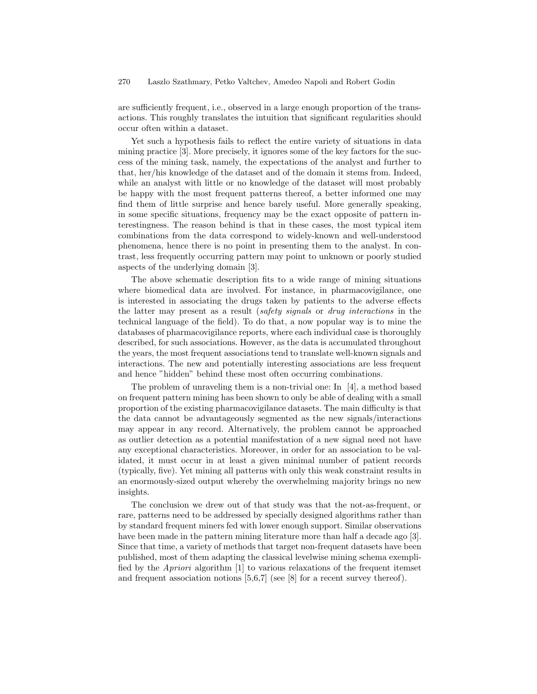are sufficiently frequent, i.e., observed in a large enough proportion of the transactions. This roughly translates the intuition that significant regularities should occur often within a dataset.

Yet such a hypothesis fails to reflect the entire variety of situations in data mining practice [3]. More precisely, it ignores some of the key factors for the success of the mining task, namely, the expectations of the analyst and further to that, her/his knowledge of the dataset and of the domain it stems from. Indeed, while an analyst with little or no knowledge of the dataset will most probably be happy with the most frequent patterns thereof, a better informed one may find them of little surprise and hence barely useful. More generally speaking, in some specific situations, frequency may be the exact opposite of pattern interestingness. The reason behind is that in these cases, the most typical item combinations from the data correspond to widely-known and well-understood phenomena, hence there is no point in presenting them to the analyst. In contrast, less frequently occurring pattern may point to unknown or poorly studied aspects of the underlying domain [3].

The above schematic description fits to a wide range of mining situations where biomedical data are involved. For instance, in pharmacovigilance, one is interested in associating the drugs taken by patients to the adverse effects the latter may present as a result (safety signals or drug interactions in the technical language of the field). To do that, a now popular way is to mine the databases of pharmacovigilance reports, where each individual case is thoroughly described, for such associations. However, as the data is accumulated throughout the years, the most frequent associations tend to translate well-known signals and interactions. The new and potentially interesting associations are less frequent and hence "hidden" behind these most often occurring combinations.

The problem of unraveling them is a non-trivial one: In [4], a method based on frequent pattern mining has been shown to only be able of dealing with a small proportion of the existing pharmacovigilance datasets. The main difficulty is that the data cannot be advantageously segmented as the new signals/interactions may appear in any record. Alternatively, the problem cannot be approached as outlier detection as a potential manifestation of a new signal need not have any exceptional characteristics. Moreover, in order for an association to be validated, it must occur in at least a given minimal number of patient records (typically, five). Yet mining all patterns with only this weak constraint results in an enormously-sized output whereby the overwhelming majority brings no new insights.

The conclusion we drew out of that study was that the not-as-frequent, or rare, patterns need to be addressed by specially designed algorithms rather than by standard frequent miners fed with lower enough support. Similar observations have been made in the pattern mining literature more than half a decade ago [3]. Since that time, a variety of methods that target non-frequent datasets have been published, most of them adapting the classical levelwise mining schema exemplified by the Apriori algorithm [1] to various relaxations of the frequent itemset and frequent association notions [5,6,7] (see [8] for a recent survey thereof).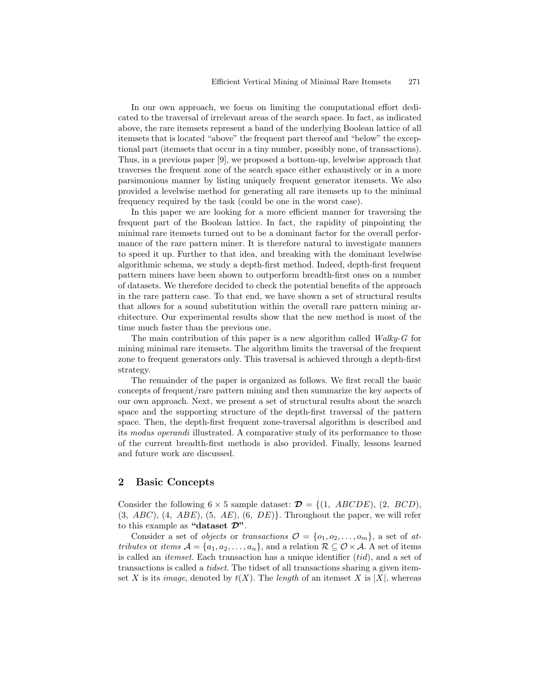In our own approach, we focus on limiting the computational effort dedicated to the traversal of irrelevant areas of the search space. In fact, as indicated above, the rare itemsets represent a band of the underlying Boolean lattice of all itemsets that is located "above" the frequent part thereof and "below" the exceptional part (itemsets that occur in a tiny number, possibly none, of transactions). Thus, in a previous paper [9], we proposed a bottom-up, levelwise approach that traverses the frequent zone of the search space either exhaustively or in a more parsimonious manner by listing uniquely frequent generator itemsets. We also provided a levelwise method for generating all rare itemsets up to the minimal frequency required by the task (could be one in the worst case).

In this paper we are looking for a more efficient manner for traversing the frequent part of the Boolean lattice. In fact, the rapidity of pinpointing the minimal rare itemsets turned out to be a dominant factor for the overall performance of the rare pattern miner. It is therefore natural to investigate manners to speed it up. Further to that idea, and breaking with the dominant levelwise algorithmic schema, we study a depth-first method. Indeed, depth-first frequent pattern miners have been shown to outperform breadth-first ones on a number of datasets. We therefore decided to check the potential benefits of the approach in the rare pattern case. To that end, we have shown a set of structural results that allows for a sound substitution within the overall rare pattern mining architecture. Our experimental results show that the new method is most of the time much faster than the previous one.

The main contribution of this paper is a new algorithm called Walky-G for mining minimal rare itemsets. The algorithm limits the traversal of the frequent zone to frequent generators only. This traversal is achieved through a depth-first strategy.

The remainder of the paper is organized as follows. We first recall the basic concepts of frequent/rare pattern mining and then summarize the key aspects of our own approach. Next, we present a set of structural results about the search space and the supporting structure of the depth-first traversal of the pattern space. Then, the depth-first frequent zone-traversal algorithm is described and its modus operandi illustrated. A comparative study of its performance to those of the current breadth-first methods is also provided. Finally, lessons learned and future work are discussed.

## 2 Basic Concepts

Consider the following  $6 \times 5$  sample dataset:  $\mathcal{D} = \{(1, ABCDE), (2, BCD)\}$ ,  $(3, ABC), (4, ABE), (5, AE), (6, DE)$ . Throughout the paper, we will refer to this example as "dataset  $\mathcal{D}$ ".

Consider a set of *objects* or transactions  $\mathcal{O} = \{o_1, o_2, \ldots, o_m\}$ , a set of attributes or items  $A = \{a_1, a_2, \ldots, a_n\}$ , and a relation  $\mathcal{R} \subseteq \mathcal{O} \times \mathcal{A}$ . A set of items is called an *itemset*. Each transaction has a unique identifier  $(tid)$ , and a set of transactions is called a tidset. The tidset of all transactions sharing a given itemset X is its *image*, denoted by  $t(X)$ . The *length* of an itemset X is |X|, whereas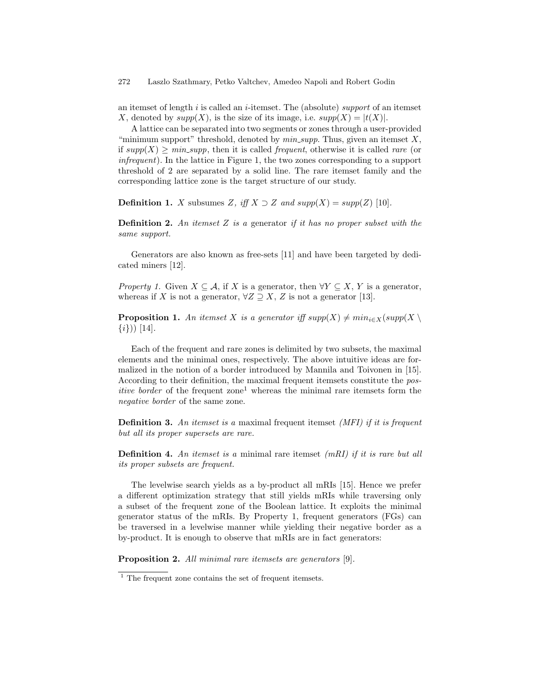an itemset of length i is called an i-itemset. The (absolute) support of an itemset X, denoted by  $supp(X)$ , is the size of its image, i.e.  $supp(X) = |t(X)|$ .

A lattice can be separated into two segments or zones through a user-provided "minimum support" threshold, denoted by  $min\_supp$ . Thus, given an itemset  $X$ , if  $supp(X) \geq min\_supp$ , then it is called *frequent*, otherwise it is called *rare* (or infrequent). In the lattice in Figure 1, the two zones corresponding to a support threshold of 2 are separated by a solid line. The rare itemset family and the corresponding lattice zone is the target structure of our study.

**Definition 1.** X subsumes Z, iff  $X \supset Z$  and  $supp(X) = supp(Z)$  [10].

**Definition 2.** An itemset Z is a generator if it has no proper subset with the same support.

Generators are also known as free-sets [11] and have been targeted by dedicated miners [12].

Property 1. Given  $X \subseteq A$ , if X is a generator, then  $\forall Y \subseteq X$ , Y is a generator, whereas if X is not a generator,  $\forall Z \supseteq X$ , Z is not a generator [13].

**Proposition 1.** An itemset X is a generator iff  $supp(X) \neq min_{i \in X}(supp(X) \setminus$  $\{i\})$  [14].

Each of the frequent and rare zones is delimited by two subsets, the maximal elements and the minimal ones, respectively. The above intuitive ideas are formalized in the notion of a border introduced by Mannila and Toivonen in [15]. According to their definition, the maximal frequent itemsets constitute the pos*itive border* of the frequent zone<sup>1</sup> whereas the minimal rare itemsets form the negative border of the same zone.

**Definition 3.** An itemset is a maximal frequent itemset *(MFI)* if it is frequent but all its proper supersets are rare.

**Definition 4.** An itemset is a minimal rare itemset  $(mRI)$  if it is rare but all its proper subsets are frequent.

The levelwise search yields as a by-product all mRIs [15]. Hence we prefer a different optimization strategy that still yields mRIs while traversing only a subset of the frequent zone of the Boolean lattice. It exploits the minimal generator status of the mRIs. By Property 1, frequent generators (FGs) can be traversed in a levelwise manner while yielding their negative border as a by-product. It is enough to observe that mRIs are in fact generators:

Proposition 2. All minimal rare itemsets are generators [9].

 $1$  The frequent zone contains the set of frequent itemsets.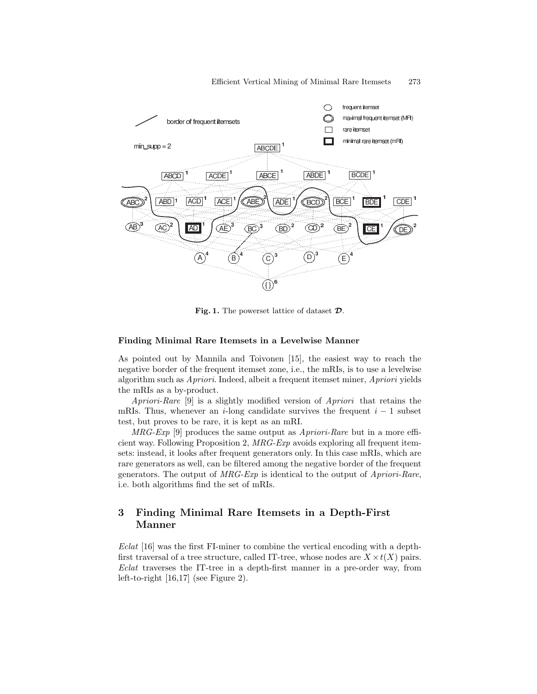

Fig. 1. The powerset lattice of dataset  $\mathcal{D}$ .

### Finding Minimal Rare Itemsets in a Levelwise Manner

As pointed out by Mannila and Toivonen [15], the easiest way to reach the negative border of the frequent itemset zone, i.e., the mRIs, is to use a levelwise algorithm such as Apriori. Indeed, albeit a frequent itemset miner, Apriori yields the mRIs as a by-product.

Apriori-Rare [9] is a slightly modified version of Apriori that retains the mRIs. Thus, whenever an i-long candidate survives the frequent  $i - 1$  subset test, but proves to be rare, it is kept as an mRI.

 $MRG-Exp$  [9] produces the same output as  $A priori-Rare$  but in a more efficient way. Following Proposition 2, MRG-Exp avoids exploring all frequent itemsets: instead, it looks after frequent generators only. In this case mRIs, which are rare generators as well, can be filtered among the negative border of the frequent generators. The output of  $MRG-Exp$  is identical to the output of  $A priori-Rare$ , i.e. both algorithms find the set of mRIs.

# 3 Finding Minimal Rare Itemsets in a Depth-First Manner

Eclat [16] was the first FI-miner to combine the vertical encoding with a depthfirst traversal of a tree structure, called IT-tree, whose nodes are  $X \times t(X)$  pairs. Eclat traverses the IT-tree in a depth-first manner in a pre-order way, from left-to-right [16,17] (see Figure 2).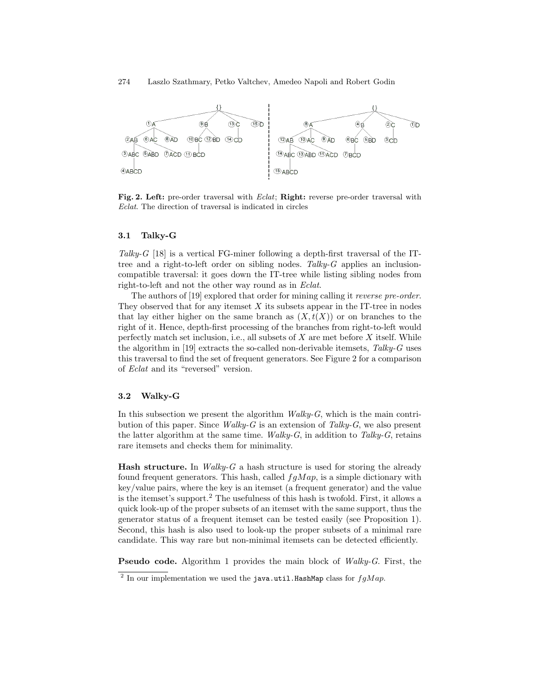

Fig. 2. Left: pre-order traversal with Eclat; Right: reverse pre-order traversal with Eclat. The direction of traversal is indicated in circles

#### 3.1 Talky-G

Talky-G [18] is a vertical FG-miner following a depth-first traversal of the ITtree and a right-to-left order on sibling nodes. Talky- $G$  applies an inclusioncompatible traversal: it goes down the IT-tree while listing sibling nodes from right-to-left and not the other way round as in Eclat.

The authors of [19] explored that order for mining calling it reverse pre-order. They observed that for any itemset  $X$  its subsets appear in the IT-tree in nodes that lay either higher on the same branch as  $(X, t(X))$  or on branches to the right of it. Hence, depth-first processing of the branches from right-to-left would perfectly match set inclusion, i.e., all subsets of  $X$  are met before  $X$  itself. While the algorithm in [19] extracts the so-called non-derivable itemsets,  $Talky-G$  uses this traversal to find the set of frequent generators. See Figure 2 for a comparison of Eclat and its "reversed" version.

### 3.2 Walky-G

In this subsection we present the algorithm  $Walky-G$ , which is the main contribution of this paper. Since *Walky-G* is an extension of Talky-G, we also present the latter algorithm at the same time.  $Walky-G$ , in addition to Talky-G, retains rare itemsets and checks them for minimality.

**Hash structure.** In *Walky-G* a hash structure is used for storing the already found frequent generators. This hash, called  $fgMap$ , is a simple dictionary with key/value pairs, where the key is an itemset (a frequent generator) and the value is the itemset's support.<sup>2</sup> The usefulness of this hash is twofold. First, it allows a quick look-up of the proper subsets of an itemset with the same support, thus the generator status of a frequent itemset can be tested easily (see Proposition 1). Second, this hash is also used to look-up the proper subsets of a minimal rare candidate. This way rare but non-minimal itemsets can be detected efficiently.

Pseudo code. Algorithm 1 provides the main block of Walky-G. First, the

<sup>&</sup>lt;sup>2</sup> In our implementation we used the java.util.HashMap class for  $fgMap$ .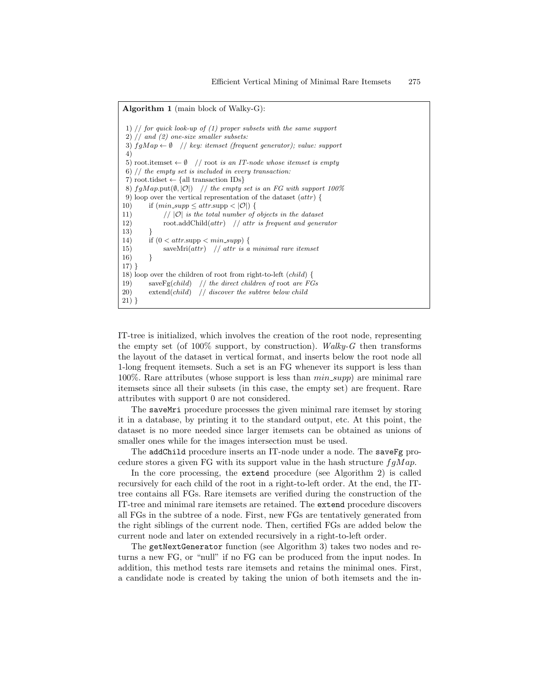Algorithm 1 (main block of Walky-G): 1)  $//$  for quick look-up of  $(1)$  proper subsets with the same support 2) // and (2) one-size smaller subsets: 3)  $fgMap \leftarrow \emptyset$  // key: itemset (frequent generator); value: support 4) 5) root.itemset  $\leftarrow \emptyset$  // root is an IT-node whose itemset is empty 6) // the empty set is included in every transaction: 7) root.tidset  $\leftarrow$  {all transaction IDs} 8)  $fgMap.\text{put}(\emptyset, |\mathcal{O}|)$  // the empty set is an FG with support 100% 9) loop over the vertical representation of the dataset (attr) { 10) if  $(min\_supp \leq attr.\text{supp} < |\mathcal{O}|)$  { 11)  $// |\mathcal{O}|$  is the total number of objects in the dataset 12) root.addChild $(attr)$  // attr is frequent and generator 13) } 14) if  $(0 < \text{attr}.\text{supp} < \text{min}.\text{supp})$  { 15) saveMri $(attr)$  // attr is a minimal rare itemset  $16)$ 17) } 18) loop over the children of root from right-to-left (child) { 19) save $\text{Fg}(child)$  // the direct children of root are FGs 20) extend(child)  $\frac{1}{3}$  discover the subtree below child 21) }

IT-tree is initialized, which involves the creation of the root node, representing the empty set (of 100% support, by construction). Walky-G then transforms the layout of the dataset in vertical format, and inserts below the root node all 1-long frequent itemsets. Such a set is an FG whenever its support is less than 100%. Rare attributes (whose support is less than  $min\_supp$ ) are minimal rare itemsets since all their subsets (in this case, the empty set) are frequent. Rare attributes with support 0 are not considered.

The saveMri procedure processes the given minimal rare itemset by storing it in a database, by printing it to the standard output, etc. At this point, the dataset is no more needed since larger itemsets can be obtained as unions of smaller ones while for the images intersection must be used.

The addChild procedure inserts an IT-node under a node. The saveFg procedure stores a given FG with its support value in the hash structure  $fgMap$ .

In the core processing, the extend procedure (see Algorithm 2) is called recursively for each child of the root in a right-to-left order. At the end, the ITtree contains all FGs. Rare itemsets are verified during the construction of the IT-tree and minimal rare itemsets are retained. The extend procedure discovers all FGs in the subtree of a node. First, new FGs are tentatively generated from the right siblings of the current node. Then, certified FGs are added below the current node and later on extended recursively in a right-to-left order.

The getNextGenerator function (see Algorithm 3) takes two nodes and returns a new FG, or "null" if no FG can be produced from the input nodes. In addition, this method tests rare itemsets and retains the minimal ones. First, a candidate node is created by taking the union of both itemsets and the in-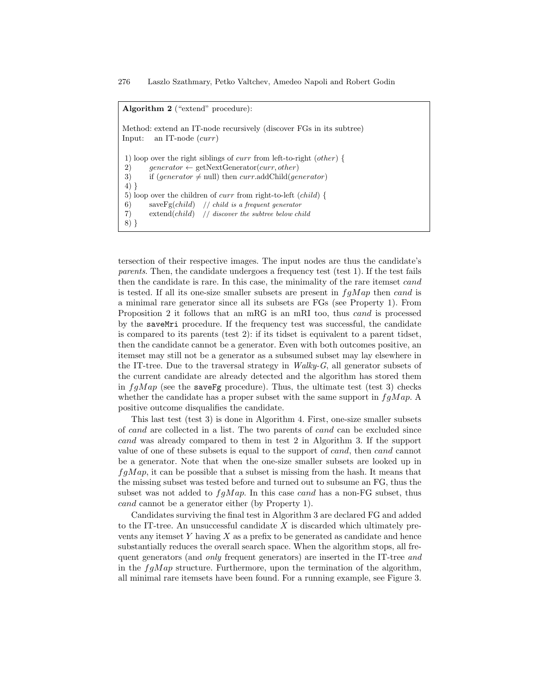#### Algorithm 2 ("extend" procedure):

Method: extend an IT-node recursively (discover FGs in its subtree) Input: an IT-node (curr) 1) loop over the right siblings of curr from left-to-right (other) { 2) generator  $\leftarrow$  getNextGenerator(*curr*, other) 3) if  $(generator \neq null)$  then curr.addChild(generator) 4) } 5) loop over the children of curr from right-to-left (child) { 6) save $\text{Fg}(child)$  // child is a frequent generator 7) extend(child) // discover the subtree below child 8) }

tersection of their respective images. The input nodes are thus the candidate's parents. Then, the candidate undergoes a frequency test (test 1). If the test fails then the candidate is rare. In this case, the minimality of the rare itemset cand is tested. If all its one-size smaller subsets are present in  $fgMap$  then cand is a minimal rare generator since all its subsets are FGs (see Property 1). From Proposition 2 it follows that an mRG is an mRI too, thus cand is processed by the saveMri procedure. If the frequency test was successful, the candidate is compared to its parents (test 2): if its tidset is equivalent to a parent tidset, then the candidate cannot be a generator. Even with both outcomes positive, an itemset may still not be a generator as a subsumed subset may lay elsewhere in the IT-tree. Due to the traversal strategy in  $Walky-G$ , all generator subsets of the current candidate are already detected and the algorithm has stored them in  $fgMap$  (see the saveFg procedure). Thus, the ultimate test (test 3) checks whether the candidate has a proper subset with the same support in  $fgMap$ . positive outcome disqualifies the candidate.

This last test (test 3) is done in Algorithm 4. First, one-size smaller subsets of cand are collected in a list. The two parents of cand can be excluded since cand was already compared to them in test 2 in Algorithm 3. If the support value of one of these subsets is equal to the support of cand, then cand cannot be a generator. Note that when the one-size smaller subsets are looked up in  $f g Map$ , it can be possible that a subset is missing from the hash. It means that the missing subset was tested before and turned out to subsume an FG, thus the subset was not added to  $fqMap$ . In this case cand has a non-FG subset, thus cand cannot be a generator either (by Property 1).

Candidates surviving the final test in Algorithm 3 are declared FG and added to the IT-tree. An unsuccessful candidate  $X$  is discarded which ultimately prevents any itemset Y having X as a prefix to be generated as candidate and hence substantially reduces the overall search space. When the algorithm stops, all frequent generators (and only frequent generators) are inserted in the IT-tree and in the  $fgMap$  structure. Furthermore, upon the termination of the algorithm, all minimal rare itemsets have been found. For a running example, see Figure 3.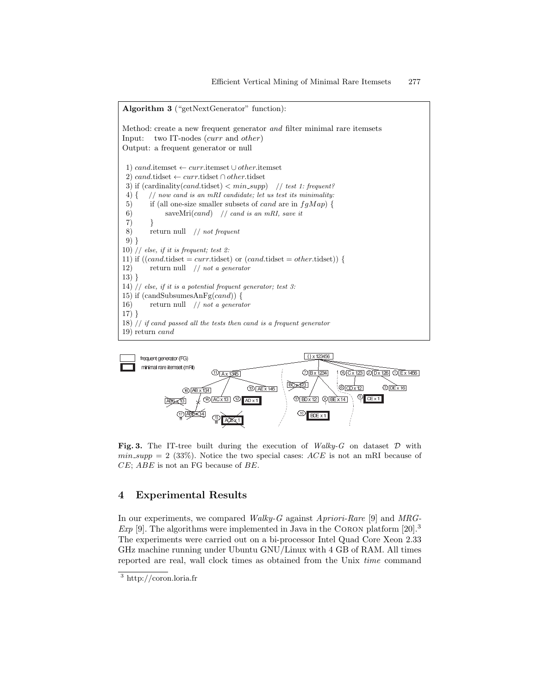Algorithm 3 ("getNextGenerator" function): Method: create a new frequent generator and filter minimal rare itemsets Input: two IT-nodes (curr and other) Output: a frequent generator or null 1) cand.itemset ← curr.itemset ∪ other.itemset 2) cand.tidset ← curr.tidset ∩ other.tidset 3) if  $(cardinality(cand.title) < min\_supp)$  // test 1: frequent? 4)  $\{$  // now cand is an mRI candidate; let us test its minimality: 5) if (all one-size smaller subsets of *cand* are in  $fqMap$  { 6) saveMri(cand) // cand is an mRI, save it 7) } 8) return null // not frequent 9) } 10)  $//$  else, if it is frequent; test 2: 11) if  $((cand.tidset = curr.tidset)$  or  $(cand.tidset = other.tidset))$ 12) return null // not a generator 13) } 14)  $//$  else, if it is a potential frequent generator; test  $3$ : 15) if  $(candSubsumesAnFg(cand))$  { 16) return null // not a generator 17) } 18)  $//$  if cand passed all the tests then cand is a frequent generator 19) return cand



Fig. 3. The IT-tree built during the execution of  $Walky-G$  on dataset  $D$  with  $min\_supp = 2$  (33%). Notice the two special cases: ACE is not an mRI because of CE; ABE is not an FG because of BE.

# 4 Experimental Results

In our experiments, we compared  $Walky-G$  against  $A priori-Rare$  [9] and  $MRG-$ Exp [9]. The algorithms were implemented in Java in the CORON platform  $[20].<sup>3</sup>$ The experiments were carried out on a bi-processor Intel Quad Core Xeon 2.33 GHz machine running under Ubuntu GNU/Linux with 4 GB of RAM. All times reported are real, wall clock times as obtained from the Unix time command

<sup>3</sup> http://coron.loria.fr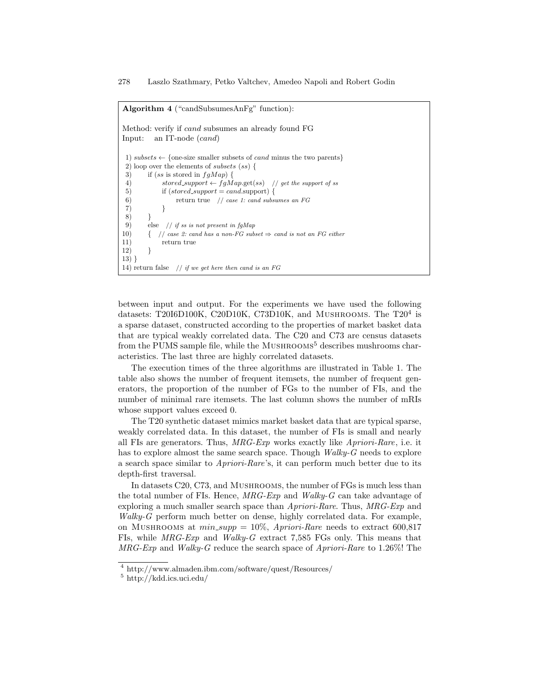Algorithm 4 ("candSubsumesAnFg" function): Method: verify if cand subsumes an already found FG Input: an IT-node (cand) 1) subsets  $\leftarrow$  {one-size smaller subsets of *cand* minus the two parents} 2) loop over the elements of subsets (ss) { 3) if (ss is stored in  $fgMap$ ) { 4)  $stored\_support \leftarrow fgMap.get(ss)$  // get the support of ss 5) if  $(storedsupport = cand.\text{support}$  { 6) return true // case 1: cand subsumes an FG 7) }  $\binom{8}{9}$ else  $//$  if ss is not present in fqMap 10)  $\{$  // case 2: cand has a non-FG subset  $\Rightarrow$  cand is not an FG either 11) return true 12) } 13) } 14) return false  $// if we get here then can be an  $FG$$ 

between input and output. For the experiments we have used the following datasets: T20I6D100K, C20D10K, C73D10K, and MUSHROOMS. The T20<sup>4</sup> is a sparse dataset, constructed according to the properties of market basket data that are typical weakly correlated data. The C20 and C73 are census datasets from the PUMS sample file, while the  $M$ USHROOMS<sup>5</sup> describes mushrooms characteristics. The last three are highly correlated datasets.

The execution times of the three algorithms are illustrated in Table 1. The table also shows the number of frequent itemsets, the number of frequent generators, the proportion of the number of FGs to the number of FIs, and the number of minimal rare itemsets. The last column shows the number of mRIs whose support values exceed 0.

The T20 synthetic dataset mimics market basket data that are typical sparse, weakly correlated data. In this dataset, the number of FIs is small and nearly all FIs are generators. Thus, MRG-Exp works exactly like Apriori-Rare, i.e. it has to explore almost the same search space. Though Walky-G needs to explore a search space similar to Apriori-Rare's, it can perform much better due to its depth-first traversal.

In datasets C20, C73, and Mushrooms, the number of FGs is much less than the total number of FIs. Hence,  $MRG$ -Exp and  $Walky$ -G can take advantage of exploring a much smaller search space than Apriori-Rare. Thus, MRG-Exp and Walky-G perform much better on dense, highly correlated data. For example, on Mushrooms at  $min\_supp = 10\%$ , Apriori-Rare needs to extract 600,817 FIs, while MRG-Exp and Walky-G extract 7,585 FGs only. This means that MRG-Exp and Walky-G reduce the search space of Apriori-Rare to 1.26%! The

<sup>4</sup> http://www.almaden.ibm.com/software/quest/Resources/

<sup>5</sup> http://kdd.ics.uci.edu/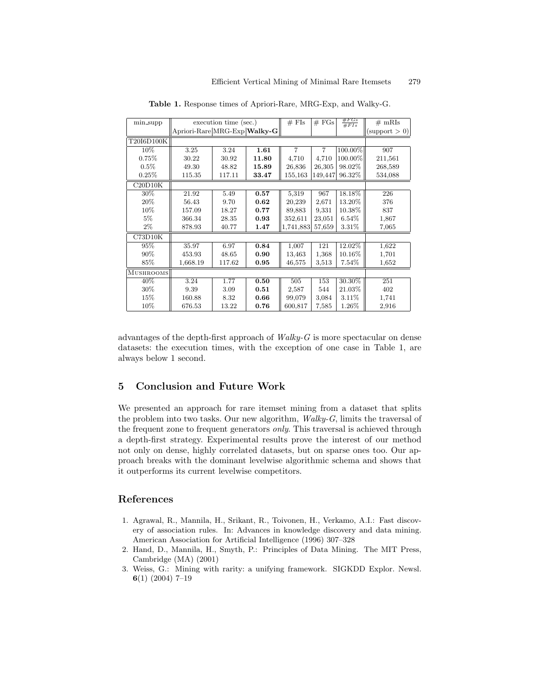| min_supp         | execution time (sec.)        |        |       | $#$ FIs        | # FGs          | $#FGs$<br>#FIs | $#$ mRIs      |
|------------------|------------------------------|--------|-------|----------------|----------------|----------------|---------------|
|                  | Apriori-Rare MRG-Exp Walky-G |        |       |                |                |                | (support > 0) |
| T20I6D100K       |                              |        |       |                |                |                |               |
| $10\%$           | 3.25                         | 3.24   | 1.61  | $\overline{7}$ | $\overline{7}$ | 100.00%        | 907           |
| 0.75%            | 30.22                        | 30.92  | 11.80 | 4,710          | 4,710          | 100.00%        | 211,561       |
| $0.5\%$          | 49.30                        | 48.82  | 15.89 | 26,836         | 26,305         | 98.02%         | 268,589       |
| 0.25%            | 115.35                       | 117.11 | 33.47 | 155,163        | 149,447        | 96.32%         | 534,088       |
| C20D10K          |                              |        |       |                |                |                |               |
| 30%              | 21.92                        | 5.49   | 0.57  | 5,319          | 967            | 18.18%         | 226           |
| $20\%$           | 56.43                        | 9.70   | 0.62  | 20,239         | 2,671          | 13.20%         | 376           |
| $10\%$           | 157.09                       | 18.27  | 0.77  | 89,883         | 9,331          | 10.38%         | 837           |
| $5\%$            | 366.34                       | 28.35  | 0.93  | 352,611        | 23,051         | 6.54%          | 1,867         |
| $2\%$            | 878.93                       | 40.77  | 1.47  | 1,741,883      | 57,659         | $3.31\%$       | 7,065         |
| C73D10K          |                              |        |       |                |                |                |               |
| 95%              | 35.97                        | 6.97   | 0.84  | 1,007          | 121            | 12.02%         | 1,622         |
| 90%              | 453.93                       | 48.65  | 0.90  | 13,463         | 1,368          | 10.16%         | 1,701         |
| 85%              | 1,668.19                     | 117.62 | 0.95  | 46,575         | 3,513          | $7.54\%$       | 1,652         |
| <b>MUSHROOMS</b> |                              |        |       |                |                |                |               |
| 40%              | 3.24                         | 1.77   | 0.50  | 505            | 153            | 30.30%         | 251           |
| 30%              | 9.39                         | 3.09   | 0.51  | 2,587          | 544            | 21.03%         | 402           |
| $15\%$           | 160.88                       | 8.32   | 0.66  | 99,079         | 3,084          | 3.11%          | 1,741         |
| 10%              | 676.53                       | 13.22  | 0.76  | 600,817        | 7,585          | 1.26%          | 2,916         |

Table 1. Response times of Apriori-Rare, MRG-Exp, and Walky-G.

advantages of the depth-first approach of  $Walky-G$  is more spectacular on dense datasets: the execution times, with the exception of one case in Table 1, are always below 1 second.

## 5 Conclusion and Future Work

We presented an approach for rare itemset mining from a dataset that splits the problem into two tasks. Our new algorithm,  $Walky-G$ , limits the traversal of the frequent zone to frequent generators only. This traversal is achieved through a depth-first strategy. Experimental results prove the interest of our method not only on dense, highly correlated datasets, but on sparse ones too. Our approach breaks with the dominant levelwise algorithmic schema and shows that it outperforms its current levelwise competitors.

## References

- 1. Agrawal, R., Mannila, H., Srikant, R., Toivonen, H., Verkamo, A.I.: Fast discovery of association rules. In: Advances in knowledge discovery and data mining. American Association for Artificial Intelligence (1996) 307–328
- 2. Hand, D., Mannila, H., Smyth, P.: Principles of Data Mining. The MIT Press, Cambridge (MA) (2001)
- 3. Weiss, G.: Mining with rarity: a unifying framework. SIGKDD Explor. Newsl. 6(1) (2004) 7–19